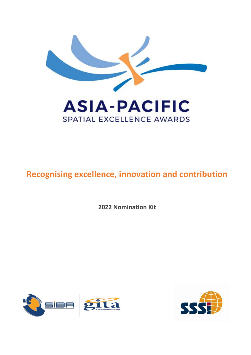

# **Recognising excellence, innovation and contribution**

**2022 Nomination Kit** 



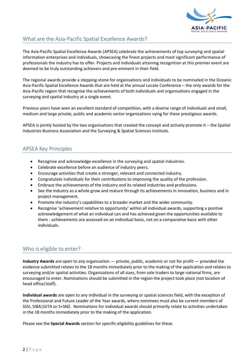

# What are the Asia-Pacific Spatial Excellence Awards?

The Asia-Pacific Spatial Excellence Awards (APSEA) celebrate the achievements of top surveying and spatial information enterprises and individuals, showcasing the finest projects and most significant performance of professionals the industry has to offer. Projects and individuals attaining recognition at this premier event are deemed to be truly outstanding achievers and pre-eminent in their field.

The regional awards provide a stepping-stone for organisations and individuals to be nominated in the Oceanic Asia-Pacific Spatial Excellence Awards that are held at the annual Locate Conference – the only awards for the Asia-Pacific region that recognise the achievements of both individuals and organisations engaged in the surveying and spatial industry at a single event.

Previous years have seen an excellent standard of competition, with a diverse range of individuals and small, medium and large private, public and academic sector organisations vying for these prestigious awards.

APSEA is jointly hosted by the two organisations that created the concept and actively promote it – the Spatial Industries Business Association and the Surveying & Spatial Sciences Institute.

# APSEA Key Principles

- Recognise and acknowledge excellence in the surveying and spatial industries.
- Celebrate excellence before an audience of industry peers.
- Encourage activities that create a stronger, relevant and connected industry.
- Congratulate individuals for their contributions to improving the quality of the profession.
- Embrace the achievements of the industry and its related industries and professions.
- See the industry as a whole grow and mature through its achievements in innovation, business and in project management.
- Promote the industry's capabilities to a broader market and the wider community.
- Recognise 'achievement relative to opportunity' within all individual awards, supporting a positive acknowledgement of what an individual can and has achieved given the opportunities available to them - achievements are assessed on an individual basis, not on a comparative basis with other individuals.

#### Who is eligible to enter?

**Industry Awards** are open to any organisation — private, public, academic or not for profit — provided the evidence submitted relates to the 18 months immediately prior to the making of the application and relates to surveying and/or spatial activities. Organisations of all sizes, from sole traders to large national firms, are encouraged to enter. Nominations should be submitted in the region the project took place (not location of head office/staff).

**Individual awards** are open to any individual in the surveying or spatial sciences field, with the exception of the Professional and Future Leader of the Year awards, where nominees must also be current members of SSSI, SIBA|GITA or S+SNZ. Nominations for individual awards should primarily relate to activities undertaken in the 18 months immediately prior to the making of the application.

Please see the **Special Awards** section for specific eligibility guidelines for these.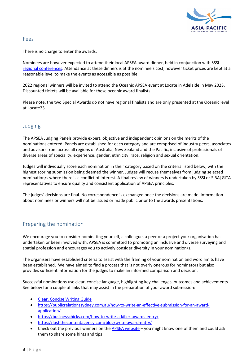

#### Fees

There is no charge to enter the awards.

Nominees are however expected to attend their local APSEA award dinner, held in conjunction with SSSI [regional conferences](https://sssi.org.au/events-awards/regional-conferences). Attendance at these dinners is at the nominee's cost, however ticket prices are kept at a reasonable level to make the events as accessible as possible.

2022 regional winners will be invited to attend the Oceanic APSEA event at Locate in Adelaide in May 2023. Discounted tickets will be available for these oceanic award finalists.

Please note, the two Special Awards do not have regional finalists and are only presented at the Oceanic level at Locate23.

#### Judging

The APSEA Judging Panels provide expert, objective and independent opinions on the merits of the nominations entered. Panels are established for each category and are comprised of industry peers, associates and advisors from across all regions of Australia, New Zealand and the Pacific, inclusive of professionals of diverse areas of speciality, experience, gender, ethnicity, race, religion and sexual orientation.

Judges will individually score each nomination in their category based on the criteria listed below, with the highest scoring submission being deemed the winner. Judges will recuse themselves from judging selected nomination/s where there is a conflict of interest. A final review of winners is undertaken by SSSI or SIBA|GITA representatives to ensure quality and consistent application of APSEA principles.

The judges' decisions are final. No correspondence is exchanged once the decisions are made. Information about nominees or winners will not be issued or made public prior to the awards presentations.

#### Preparing the nomination

We encourage you to consider nominating yourself, a colleague, a peer or a project your organisation has undertaken or been involved with. APSEA is committed to promoting an inclusive and diverse surveying and spatial profession and encourages you to actively consider diversity in your nomination/s.

The organisers have established criteria to assist with the framing of your nomination and word limits have been established. We have aimed to find a process that is not overly onerous for nominators but also provides sufficient information for the judges to make an informed comparison and decision.

Successful nominations use clear, concise language, highlighting key challenges, outcomes and achievements. See below for a couple of links that may assist in the preparation of your award submission:

- [Clear, Concise Writing Guide](https://sssi.org.au/SSSI/files/17/178e74a9-bdb6-4767-99f1-8a3e1124b2b8.pdf)
- [https://publicrelationssydney.com.au/how-to-write-an-effective-submission-for-an-award](https://publicrelationssydney.com.au/how-to-write-an-effective-submission-for-an-award-application/)[application/](https://publicrelationssydney.com.au/how-to-write-an-effective-submission-for-an-award-application/)
- <https://businesschicks.com/how-to-write-a-killer-awards-entry/>
- <https://lushthecontentagency.com/blog/write-award-entry/>
- Check out the previous winners on the [APSEA website](https://www.apsea.org.au/) you might know one of them and could ask them to share some hints and tips!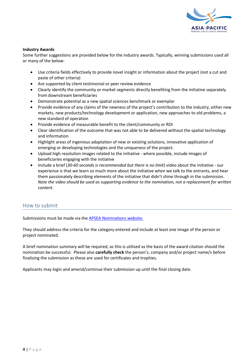

#### **Industry Awards**

Some further suggestions are provided below for the industry awards. Typically, winning submissions used all or many of the below:

- Use criteria fields effectively to provide novel insight or information about the project (not a cut and paste of other criteria)
- Are supported by client testimonial or peer review evidence
- Clearly identify the community or market segments directly benefiting from the initiative separately from downstream beneficiaries
- Demonstrate potential as a new spatial sciences benchmark or exemplar
- Provide evidence of any claims of the newness of the project's contribution to the industry, either new markets, new products/technology development or application, new approaches to old problems, a new standard of operation
- Provide evidence of measurable benefit to the client/community or ROI
- Clear identification of the outcome that was not able to be delivered without the spatial technology and information
- Highlight areas of ingenious adaptation of new or existing solutions, innovative application of emerging or developing technologies and the uniqueness of the project.
- Upload high resolution images related to the initiative where possible, include images of beneficiaries engaging with the initiative
- Include a brief (*30-60 seconds is recommended but there is no limit*) video about the initiative our experience is that we learn so much more about the initiative when we talk to the entrants, and hear them passionately describing elements of the initiative that didn't shine through in the submission. *Note the video should be used as supporting evidence to the nomination, not a replacement for written content.*

#### How to submit

Submissions must be made via the APSEA [Nominations](https://spatialexcellence.awardsplatform.com/) website.

They should address the criteria for the category entered and include at least one image of the person or project nominated.

A brief nomination summary will be required, as this is utilised as the basis of the award citation should the nomination be successful. Please also **carefully check** the person's, company and/or project name/s before finalising the submission as these are used for certificates and trophies.

Applicants may login and amend/continue their submission up until the final closing date.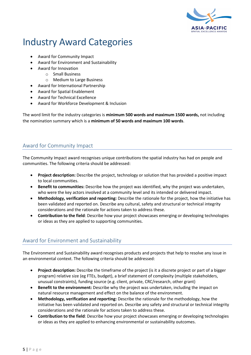

# Industry Award Categories

- Award for Community Impact
- Award for Environment and Sustainability
- Award for Innovation
	- o Small Business
	- o Medium to Large Business
- Award for International Partnership
- Award for Spatial Enablement
- Award for Technical Excellence
- Award for Workforce Development & Inclusion

The word limit for the industry categories is **minimum 500 words and maximum 1500 words,** not including the nomination summary which is a **minimum of 50 words and maximum 100 words**.

## Award for Community Impact

The Community Impact award recognises unique contributions the spatial industry has had on people and communities. The following criteria should be addressed:

- **Project description:** Describe the project, technology or solution that has provided a positive impact to local communities.
- **Benefit to communities:** Describe how the project was identified, why the project was undertaken, who were the key actors involved at a community level and its intended or delivered impact.
- **Methodology, verification and reporting:** Describe the rationale for the project, how the initiative has been validated and reported on. Describe any cultural, safety and structural or technical integrity considerations and the rationale for actions taken to address these.
- **Contribution to the field**: Describe how your project showcases emerging or developing technologies or ideas as they are applied to supporting communities.

# Award for Environment and Sustainability

The Environment and Sustainability award recognises products and projects that help to resolve any issue in an environmental context. The following criteria should be addressed:

- **Project description:** Describe the timeframe of the project (is it a discrete project or part of a bigger program) relative size (eg FTEs, budget), a brief statement of complexity (multiple stakeholders, unusual constraints), funding source (e.g. client, private, CRC/research, other grant)
- **Benefit to the environment:** Describe why the project was undertaken, including the impact on natural resource management and effect on the balance of the environment.
- **Methodology, verification and reporting:** Describe the rationale for the methodology, how the initiative has been validated and reported on. Describe any safety and structural or technical integrity considerations and the rationale for actions taken to address these.
- **Contribution to the field**: Describe how your project showcases emerging or developing technologies or ideas as they are applied to enhancing environmental or sustainability outcomes.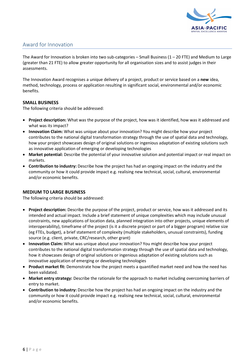

### Award for Innovation

The Award for Innovation is broken into two sub-categories – Small Business  $(1 – 20$  FTE) and Medium to Large (greater than 21 FTE) to allow greater opportunity for all organisation sizes and to assist judges in their assessments.

The Innovation Award recognises a unique delivery of a project, product or service based on a **new** idea, method, technology, process or application resulting in significant social, environmental and/or economic benefits.

#### **SMALL BUSINESS**

The following criteria should be addressed:

- **Project description:** What was the purpose of the project, how was it identified, how was it addressed and what was its impact?
- **Innovation Claim:** What was unique about your innovation? You might describe how your project contributes to the national digital transformation strategy through the use of spatial data and technology, how your project showcases design of original solutions or ingenious adaptation of existing solutions such as innovative application of emerging or developing technologies
- **Market potential:** Describe the potential of your innovative solution and potential impact or real impact on markets.
- **Contribution to industry:** Describe how the project has had an ongoing impact on the industry and the community or how it could provide impact e.g. realising new technical, social, cultural, environmental and/or economic benefits.

#### **MEDIUM TO LARGE BUSINESS**

The following criteria should be addressed:

- **Project description:** Describe the purpose of the project, product or service, how was it addressed and its intended and actual impact. Include a brief statement of unique complexities which may include unusual constraints, new applications of location data, planned integration into other projects, unique elements of interoperability), timeframe of the project (is it a discrete project or part of a bigger program) relative size (eg FTEs, budget), a brief statement of complexity (multiple stakeholders, unusual constraints), funding source (e.g. client, private, CRC/research, other grant)
- **Innovation Claim:** What was unique about your innovation? You might describe how your project contributes to the national digital transformation strategy through the use of spatial data and technology, how it showcases design of original solutions or ingenious adaptation of existing solutions such as innovative application of emerging or developing technologies
- **Product market fit:** Demonstrate how the project meets a quantified market need and how the need has been validated.
- **Market entry strategy:** Describe the rationale for the approach to market including overcoming barriers of entry to market.
- **Contribution to industry:** Describe how the project has had an ongoing impact on the industry and the community or how it could provide impact e.g. realising new technical, social, cultural, environmental and/or economic benefits.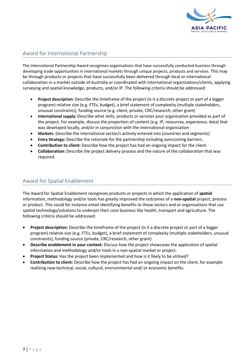

# Award for International Partnership

The International Partnership Award recognises organisations that have successfully conducted business through developing trade opportunities in international markets through unique projects, products and services. This may be through products or projects that have successfully been delivered through local or international collaboration in a market outside of Australia or coordinated with international organisations/clients, applying surveying and spatial knowledge, products, and/or IP. The following criteria should be addressed:

- **Project description:** Describe the timeframe of the project (is it a discrete project or part of a bigger program) relative size (e.g. FTEs, budget), a brief statement of complexity (multiple stakeholders, unusual constraints), funding source (e.g. client, private, CRC/research, other grant)
- **International supply:** Describe what skills, products or services your organisation provided as part of the project. For example, discuss the proportion of content (e.g. IP, resources, experience, data) that was developed locally, and/or in conjunction with the international organisation
- **Markets**: Describe the international sector/s actively entered into (countries and segments)
- **Entry Strategy:** Describe the rationale for the partnership including overcoming barriers.
- **Contribution to client:** Describe how the project has had an ongoing impact for the client.
- **Collaboration:** Describe the project delivery process and the nature of the collaboration that was required.

# Award for Spatial Enablement

The Award for Spatial Enablement recognises products or projects in which the application of **spatial** information, methodology and/or tools has greatly improved the outcomes of a **non-spatial** project, process or product. This could for instance entail identifying benefits to those sectors and or organisations that use spatial technology/solutions to underpin their core business like health, transport and agriculture. The following criteria should be addressed:

- **Project description:** Describe the timeframe of the project (is it a discrete project or part of a bigger program) relative size (e.g. FTEs, budget), a brief statement of complexity (multiple stakeholders, unusual constraints), funding source (private, CRC/research, other grant)
- **Describe enablement in your context:** Discuss how the project showcases the application of spatial information and methodology and/or tools in a non-spatial market or project.
- **Project Status:** Has the project been implemented and how is it likely to be utilised?
- **Contribution to client:** Describe how the project has had an ongoing impact on the client, for example realising new technical, social, cultural, environmental and/ or economic benefits.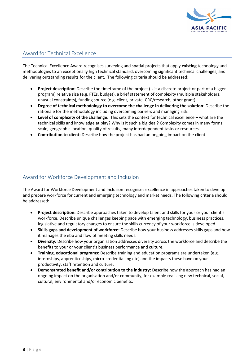

## Award for Technical Excellence

The Technical Excellence Award recognises surveying and spatial projects that apply **existing** technology and methodologies to an exceptionally high technical standard, overcoming significant technical challenges, and delivering outstanding results for the client. The following criteria should be addressed:

- **Project description:** Describe the timeframe of the project (is it a discrete project or part of a bigger program) relative size (e.g. FTEs, budget), a brief statement of complexity (multiple stakeholders, unusual constraints), funding source (e.g. client, private, CRC/research, other grant)
- **Degree of technical methodology to overcome the challenge in delivering the solution**: Describe the rationale for the methodology including overcoming barriers and managing risk.
- **Level of complexity of the challenge:** This sets the context for technical excellence what are the technical skills and knowledge at play? Why is it such a big deal? Complexity comes in many forms: scale, geographic location, quality of results, many interdependent tasks or resources.
- **Contribution to client:** Describe how the project has had an ongoing impact on the client.

### Award for Workforce Development and Inclusion

The Award for Workforce Development and Inclusion recognises excellence in approaches taken to develop and prepare workforce for current and emerging technology and market needs. The following criteria should be addressed:

- **Project description:** Describe approaches taken to develop talent and skills for your or your client's workforce. Describe unique challenges keeping pace with emerging technology, business practices, legislative and regulatory changes to ensure the skills currency of your workforce is developed.
- **Skills gaps and development of workforce:** Describe how your business addresses skills gaps and how it manages the ebb and flow of meeting skills needs.
- **Diversity:** Describe how your organisation addresses diversity across the workforce and describe the benefits to your or your client's business performance and culture.
- **Training, educational programs:** Describe training and education programs are undertaken (e.g. internships, apprenticeships, micro-credentialling etc) and the impacts these have on your productivity, staff retention and culture.
- **Demonstrated benefit and/or contribution to the industry:** Describe how the approach has had an ongoing impact on the organisation and/or community, for example realising new technical, social, cultural, environmental and/or economic benefits.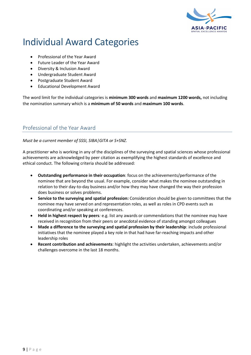

# Individual Award Categories

- Professional of the Year Award
- Future Leader of the Year Award
- Diversity & Inclusion Award
- Undergraduate Student Award
- Postgraduate Student Award
- Educational Development Award

The word limit for the individual categories is **minimum 300 words** and **maximum 1200 words,** not including the nomination summary which is a **minimum of 50 words** and **maximum 100 words**.

#### Professional of the Year Award

#### *Must be a current member of SSSI, SIBA|GITA or S+SNZ.*

A practitioner who is working in any of the disciplines of the surveying and spatial sciences whose professional achievements are acknowledged by peer citation as exemplifying the highest standards of excellence and ethical conduct. The following criteria should be addressed:

- **Outstanding performance in their occupation**: focus on the achievements/performance of the nominee that are beyond the usual. For example, consider what makes the nominee outstanding in relation to their day-to-day business and/or how they may have changed the way their profession does business or solves problems.
- **Service to the surveying and spatial profession:** Consideration should be given to committees that the nominee may have served on and representation roles, as well as roles in CPD events such as coordinating and/or speaking at conferences.
- **Held in highest respect by peers***:* e.g. list any awards or commendations that the nominee may have received in recognition from their peers or anecdotal evidence of standing amongst colleagues
- **Made a difference to the surveying and spatial profession by their leadership**: include professional initiatives that the nominee played a key role in that had have far-reaching impacts and other leadership roles
- **Recent contribution and achievements**: highlight the activities undertaken, achievements and/or challenges overcome in the last 18 months.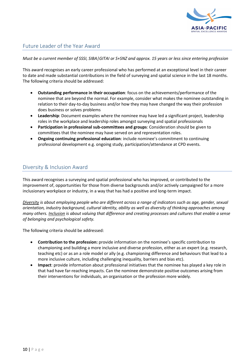

## Future Leader of the Year Award

*Must be a current member of SSSI, SIBA|GITAI or S+SNZ and approx. 15 years or less since entering profession*

This award recognises an early career professional who has performed at an exceptional level in their career to date and made substantial contributions in the field of surveying and spatial science in the last 18 months. The following criteria should be addressed:

- **Outstanding performance in their occupation**: focus on the achievements/performance of the nominee that are beyond the normal. For example, consider what makes the nominee outstanding in relation to their day-to-day business and/or how they may have changed the way their profession does business or solves problems
- **Leadership**: Document examples where the nominee may have led a significant project, leadership roles in the workplace and leadership roles amongst surveying and spatial professionals
- **Participation in professional sub-committees and groups**: Consideration should be given to committees that the nominee may have served on and representation roles.
- **Ongoing continuing professional education**: include nominee's commitment to continuing professional development e.g. ongoing study, participation/attendance at CPD events.

#### Diversity & Inclusion Award

This award recognises a surveying and spatial professional who has improved, or contributed to the improvement of, opportunities for those from diverse backgrounds and/or actively campaigned for a more inclusionary workplace or industry, in a way that has had a positive and long-term impact.

*Diversity is about employing people who are different across a range of indicators such as age, gender, sexual orientation, industry background, cultural identity, ability as well as diversity of thinking approaches among many others. Inclusion is about valuing that difference and creating processes and cultures that enable a sense of belonging and psychological safety.*

The following criteria should be addressed:

- **Contribution to the profession:** provide information on the nominee's specific contribution to championing and building a more inclusive and diverse profession, either as an expert (e.g. research, teaching etc) or as an a role model or ally (e.g. championing difference and behaviours that lead to a more inclusive culture, including challenging inequality, barriers and bias etc).
- **Impact**: provide information about professional initiatives that the nominee has played a key role in that had have far-reaching impacts. Can the nominee demonstrate positive outcomes arising from their interventions for individuals, an organisation or the profession more widely.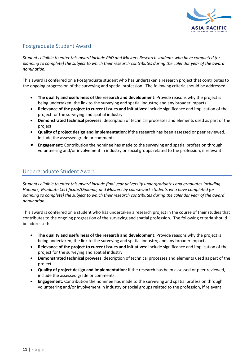

## Postgraduate Student Award

*Students eligible to enter this award include PhD and Masters Research students who have completed (or planning to complete) the subject to which their research contributes during the calendar year of the award nomination.*

This award is conferred on a Postgraduate student who has undertaken a research project that contributes to the ongoing progression of the surveying and spatial profession. The following criteria should be addressed:

- **The quality and usefulness of the research and development**: Provide reasons why the project is being undertaken; the link to the surveying and spatial industry; and any broader impacts
- **Relevance of the project to current issues and initiatives**: include significance and implication of the project for the surveying and spatial industry.
- **Demonstrated technical prowess**: description of technical processes and elements used as part of the project
- **Quality of project design and implementation**: if the research has been assessed or peer reviewed, include the assessed grade or comments
- **Engagement**: Contribution the nominee has made to the surveying and spatial profession through volunteering and/or involvement in industry or social groups related to the profession, if relevant.

#### Undergraduate Student Award

*Students eligible to enter this award include final year university undergraduates and graduates including Honours, Graduate Certificate/Diploma, and Masters by coursework students who have completed (or planning to complete) the subject to which their research contributes during the calendar year of the award nomination.*

This award is conferred on a student who has undertaken a research project in the course of their studies that contributes to the ongoing progression of the surveying and spatial profession. The following criteria should be addressed:

- **The quality and usefulness of the research and development**: Provide reasons why the project is being undertaken; the link to the surveying and spatial industry; and any broader impacts
- **Relevance of the project to current issues and initiatives**: include significance and implication of the project for the surveying and spatial industry.
- **Demonstrated technical prowess**: description of technical processes and elements used as part of the project
- **Quality of project design and implementation**: if the research has been assessed or peer reviewed, include the assessed grade or comments
- **Engagement**: Contribution the nominee has made to the surveying and spatial profession through volunteering and/or involvement in industry or social groups related to the profession, if relevant.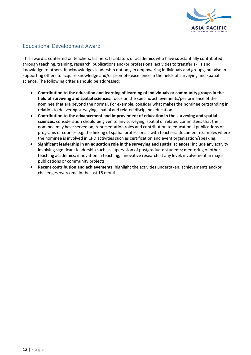

# Educational Development Award

This award is conferred on teachers, trainers, facilitators or academics who have substantially contributed through teaching, training, research, publications and/or professional activities to transfer skills and knowledge to others. It acknowledges leadership not only in empowering individuals and groups, but also in supporting others to acquire knowledge and/or promote excellence in the fields of surveying and spatial science. The following criteria should be addressed:

- **Contribution to the education and learning of learning of individuals or community groups in the field of surveying and spatial sciences**: focus on the specific achievements/performance of the nominee that are beyond the normal. For example, consider what makes the nominee outstanding in relation to delivering surveying, spatial and related discipline education.
- **Contribution to the advancement and improvement of education in the surveying and spatial sciences**: consideration should be given to any surveying, spatial or related committees that the nominee may have served on, representation roles and contribution to educational publications or programs or courses e.g. the linking of spatial professionals with teachers. Document examples where the nominee is involved in CPD activities such as certification and event organisation/speaking.
- **Significant leadership in an education role in the surveying and spatial sciences: i**nclude any activity involving significant leadership such as supervision of postgraduate students; mentoring of other teaching academics; innovation in teaching, innovative research at any level, involvement in major publications or community projects
- **Recent contribution and achievements**: highlight the activities undertaken, achievements and/or challenges overcome in the last 18 months.